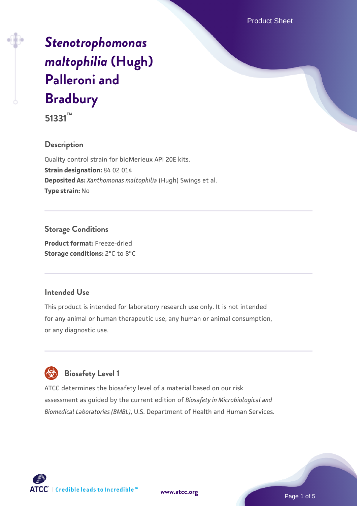Product Sheet

# *[Stenotrophomonas](https://www.atcc.org/products/51331) [maltophilia](https://www.atcc.org/products/51331)* **[\(Hugh\)](https://www.atcc.org/products/51331) [Palleroni and](https://www.atcc.org/products/51331) [Bradbury](https://www.atcc.org/products/51331)**

**51331™**

### **Description**

Quality control strain for bioMerieux API 20E kits. **Strain designation:** 84 02 014 **Deposited As:** *Xanthomonas maltophilia* (Hugh) Swings et al. **Type strain:** No

### **Storage Conditions**

**Product format:** Freeze-dried **Storage conditions:** 2°C to 8°C

#### **Intended Use**

This product is intended for laboratory research use only. It is not intended for any animal or human therapeutic use, any human or animal consumption, or any diagnostic use.

## **Biosafety Level 1**

ATCC determines the biosafety level of a material based on our risk assessment as guided by the current edition of *Biosafety in Microbiological and Biomedical Laboratories (BMBL)*, U.S. Department of Health and Human Services.

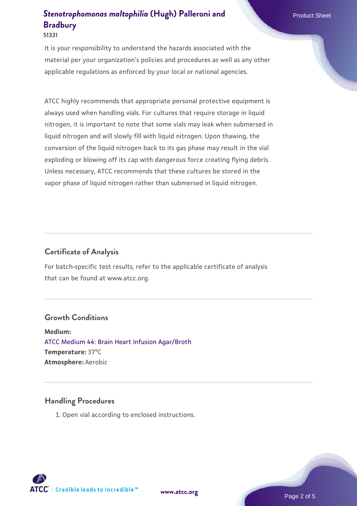#### **51331**

It is your responsibility to understand the hazards associated with the material per your organization's policies and procedures as well as any other applicable regulations as enforced by your local or national agencies.

ATCC highly recommends that appropriate personal protective equipment is always used when handling vials. For cultures that require storage in liquid nitrogen, it is important to note that some vials may leak when submersed in liquid nitrogen and will slowly fill with liquid nitrogen. Upon thawing, the conversion of the liquid nitrogen back to its gas phase may result in the vial exploding or blowing off its cap with dangerous force creating flying debris. Unless necessary, ATCC recommends that these cultures be stored in the vapor phase of liquid nitrogen rather than submersed in liquid nitrogen.

#### **Certificate of Analysis**

For batch-specific test results, refer to the applicable certificate of analysis that can be found at www.atcc.org.

#### **Growth Conditions**

**Medium:**  [ATCC Medium 44: Brain Heart Infusion Agar/Broth](https://www.atcc.org/-/media/product-assets/documents/microbial-media-formulations/4/4/atcc-medium-44.pdf?rev=ce06ac4e5438493b896cd46c7d875629) **Temperature:** 37°C **Atmosphere:** Aerobic

#### **Handling Procedures**

1. Open vial according to enclosed instructions.

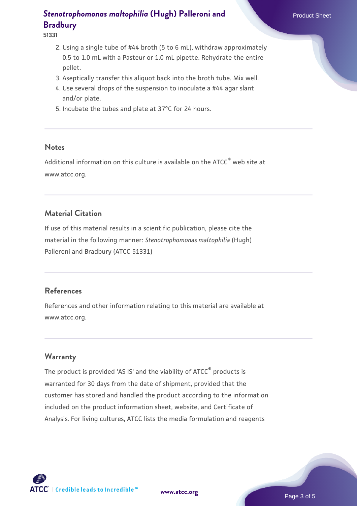#### **51331**

- 2. Using a single tube of #44 broth (5 to 6 mL), withdraw approximately 0.5 to 1.0 mL with a Pasteur or 1.0 mL pipette. Rehydrate the entire pellet.
- 3. Aseptically transfer this aliquot back into the broth tube. Mix well.
- 4. Use several drops of the suspension to inoculate a #44 agar slant and/or plate.
- 5. Incubate the tubes and plate at 37°C for 24 hours.

#### **Notes**

Additional information on this culture is available on the ATCC<sup>®</sup> web site at www.atcc.org.

#### **Material Citation**

If use of this material results in a scientific publication, please cite the material in the following manner: *Stenotrophomonas maltophilia* (Hugh) Palleroni and Bradbury (ATCC 51331)

#### **References**

References and other information relating to this material are available at www.atcc.org.

#### **Warranty**

The product is provided 'AS IS' and the viability of ATCC® products is warranted for 30 days from the date of shipment, provided that the customer has stored and handled the product according to the information included on the product information sheet, website, and Certificate of Analysis. For living cultures, ATCC lists the media formulation and reagents

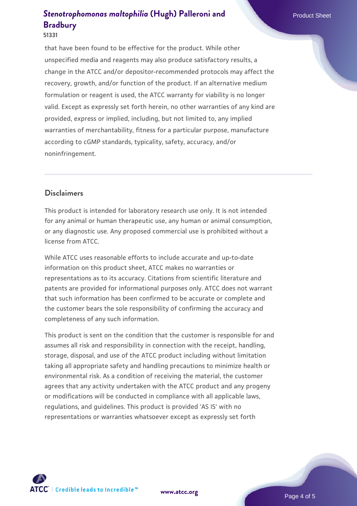#### **51331**

that have been found to be effective for the product. While other unspecified media and reagents may also produce satisfactory results, a change in the ATCC and/or depositor-recommended protocols may affect the recovery, growth, and/or function of the product. If an alternative medium formulation or reagent is used, the ATCC warranty for viability is no longer valid. Except as expressly set forth herein, no other warranties of any kind are provided, express or implied, including, but not limited to, any implied warranties of merchantability, fitness for a particular purpose, manufacture according to cGMP standards, typicality, safety, accuracy, and/or noninfringement.

#### **Disclaimers**

This product is intended for laboratory research use only. It is not intended for any animal or human therapeutic use, any human or animal consumption, or any diagnostic use. Any proposed commercial use is prohibited without a license from ATCC.

While ATCC uses reasonable efforts to include accurate and up-to-date information on this product sheet, ATCC makes no warranties or representations as to its accuracy. Citations from scientific literature and patents are provided for informational purposes only. ATCC does not warrant that such information has been confirmed to be accurate or complete and the customer bears the sole responsibility of confirming the accuracy and completeness of any such information.

This product is sent on the condition that the customer is responsible for and assumes all risk and responsibility in connection with the receipt, handling, storage, disposal, and use of the ATCC product including without limitation taking all appropriate safety and handling precautions to minimize health or environmental risk. As a condition of receiving the material, the customer agrees that any activity undertaken with the ATCC product and any progeny or modifications will be conducted in compliance with all applicable laws, regulations, and guidelines. This product is provided 'AS IS' with no representations or warranties whatsoever except as expressly set forth